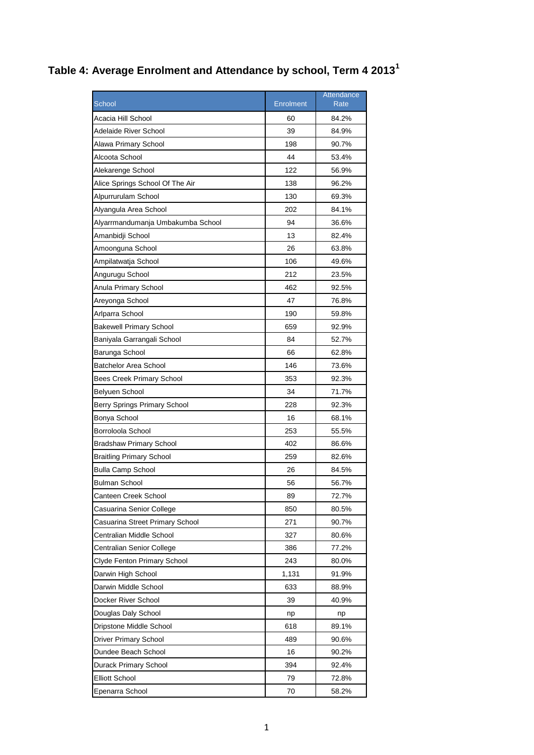## **Table 4: Average Enrolment and Attendance by school, Term 4 2013<sup>1</sup>**

|                                   |           | Attendance |
|-----------------------------------|-----------|------------|
| School                            | Enrolment | Rate       |
| Acacia Hill School                | 60        | 84.2%      |
| Adelaide River School             | 39        | 84.9%      |
| Alawa Primary School              | 198       | 90.7%      |
| Alcoota School                    | 44        | 53.4%      |
| Alekarenge School                 | 122       | 56.9%      |
| Alice Springs School Of The Air   | 138       | 96.2%      |
| Alpurrurulam School               | 130       | 69.3%      |
| Alyangula Area School             | 202       | 84.1%      |
| Alyarrmandumanja Umbakumba School | 94        | 36.6%      |
| Amanbidji School                  | 13        | 82.4%      |
| Amoonguna School                  | 26        | 63.8%      |
| Ampilatwatja School               | 106       | 49.6%      |
| Angurugu School                   | 212       | 23.5%      |
| Anula Primary School              | 462       | 92.5%      |
| Areyonga School                   | 47        | 76.8%      |
| Arlparra School                   | 190       | 59.8%      |
| <b>Bakewell Primary School</b>    | 659       | 92.9%      |
| Baniyala Garrangali School        | 84        | 52.7%      |
| Barunga School                    | 66        | 62.8%      |
| <b>Batchelor Area School</b>      | 146       | 73.6%      |
| <b>Bees Creek Primary School</b>  | 353       | 92.3%      |
| Belyuen School                    | 34        | 71.7%      |
| Berry Springs Primary School      | 228       | 92.3%      |
| Bonya School                      | 16        | 68.1%      |
| Borroloola School                 | 253       | 55.5%      |
| <b>Bradshaw Primary School</b>    | 402       | 86.6%      |
| <b>Braitling Primary School</b>   | 259       | 82.6%      |
| <b>Bulla Camp School</b>          | 26        | 84.5%      |
| Bulman School                     | 56        | 56.7%      |
| Canteen Creek School              | 89        | 72.7%      |
| Casuarina Senior College          | 850       | 80.5%      |
| Casuarina Street Primary School   | 271       | 90.7%      |
| Centralian Middle School          | 327       | 80.6%      |
| Centralian Senior College         | 386       | 77.2%      |
| Clyde Fenton Primary School       | 243       | 80.0%      |
| Darwin High School                | 1,131     | 91.9%      |
| Darwin Middle School              | 633       | 88.9%      |
| Docker River School               | 39        | 40.9%      |
| Douglas Daly School               | np        | np         |
| Dripstone Middle School           | 618       | 89.1%      |
| Driver Primary School             | 489       | 90.6%      |
| Dundee Beach School               | 16        | 90.2%      |
| Durack Primary School             | 394       | 92.4%      |
| <b>Elliott School</b>             | 79        | 72.8%      |
| Epenarra School                   | 70        | 58.2%      |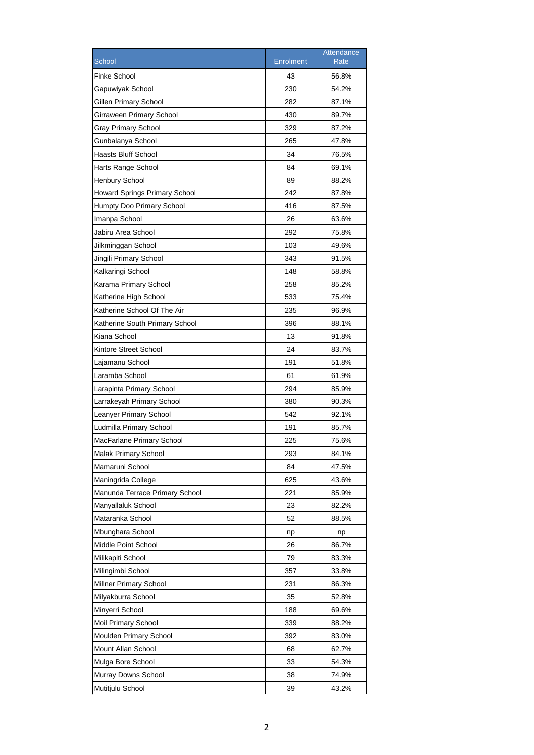| <b>Finke School</b><br>43<br>56.8%<br>Gapuwiyak School<br>230<br>54.2%<br>Gillen Primary School<br>282<br>87.1%<br>430<br>89.7%<br>Girraween Primary School<br>Gray Primary School<br>329<br>87.2%<br>Gunbalanya School<br>265<br>47.8%<br>34<br>Haasts Bluff School<br>76.5%<br>84<br>69.1%<br>Harts Range School<br><b>Henbury School</b><br>89<br>88.2%<br>242<br><b>Howard Springs Primary School</b><br>87.8%<br>416<br>Humpty Doo Primary School<br>87.5%<br>26<br>63.6%<br>Imanpa School<br>Jabiru Area School<br>292<br>75.8%<br>103<br>Jilkminggan School<br>49.6%<br>Jingili Primary School<br>343<br>91.5%<br>Kalkaringi School<br>148<br>58.8%<br>258<br>85.2%<br>Karama Primary School<br>533<br>75.4%<br>Katherine High School<br>Katherine School Of The Air<br>235<br>96.9%<br>396<br>Katherine South Primary School<br>88.1%<br>Kiana School<br>13<br>91.8%<br>Kintore Street School<br>24<br>83.7%<br>191<br>51.8%<br>Lajamanu School<br>Laramba School<br>61<br>61.9%<br>294<br>Larapinta Primary School<br>85.9%<br>Larrakeyah Primary School<br>380<br>90.3%<br>542<br>Leanyer Primary School<br>92.1%<br>Ludmilla Primary School<br>191<br>85.7%<br>MacFarlane Primary School<br>225<br>75.6%<br>Malak Primary School<br>84.1%<br>293<br>Mamaruni School<br>84<br>47.5%<br>Maningrida College<br>625<br>43.6%<br>Manunda Terrace Primary School<br>221<br>85.9%<br>Manyallaluk School<br>23<br>82.2%<br>Mataranka School<br>52<br>88.5%<br>Mbunghara School<br>np<br>np<br>Middle Point School<br>26<br>86.7%<br>Milikapiti School<br>79<br>83.3%<br>Milingimbi School<br>357<br>33.8%<br>Millner Primary School<br>86.3%<br>231<br>Milyakburra School<br>35<br>52.8%<br>188<br>Minyerri School<br>69.6%<br>Moil Primary School<br>339<br>88.2%<br>Moulden Primary School<br>392<br>83.0%<br>Mount Allan School<br>68<br>62.7%<br>Mulga Bore School<br>33<br>54.3%<br>Murray Downs School<br>38<br>74.9% |                  |                  | Attendance  |
|--------------------------------------------------------------------------------------------------------------------------------------------------------------------------------------------------------------------------------------------------------------------------------------------------------------------------------------------------------------------------------------------------------------------------------------------------------------------------------------------------------------------------------------------------------------------------------------------------------------------------------------------------------------------------------------------------------------------------------------------------------------------------------------------------------------------------------------------------------------------------------------------------------------------------------------------------------------------------------------------------------------------------------------------------------------------------------------------------------------------------------------------------------------------------------------------------------------------------------------------------------------------------------------------------------------------------------------------------------------------------------------------------------------------------------------------------------------------------------------------------------------------------------------------------------------------------------------------------------------------------------------------------------------------------------------------------------------------------------------------------------------------------------------------------------------------------------------------------------------------------------------------------------------------------------|------------------|------------------|-------------|
|                                                                                                                                                                                                                                                                                                                                                                                                                                                                                                                                                                                                                                                                                                                                                                                                                                                                                                                                                                                                                                                                                                                                                                                                                                                                                                                                                                                                                                                                                                                                                                                                                                                                                                                                                                                                                                                                                                                                | School           | <b>Enrolment</b> | <b>Rate</b> |
|                                                                                                                                                                                                                                                                                                                                                                                                                                                                                                                                                                                                                                                                                                                                                                                                                                                                                                                                                                                                                                                                                                                                                                                                                                                                                                                                                                                                                                                                                                                                                                                                                                                                                                                                                                                                                                                                                                                                |                  |                  |             |
|                                                                                                                                                                                                                                                                                                                                                                                                                                                                                                                                                                                                                                                                                                                                                                                                                                                                                                                                                                                                                                                                                                                                                                                                                                                                                                                                                                                                                                                                                                                                                                                                                                                                                                                                                                                                                                                                                                                                |                  |                  |             |
|                                                                                                                                                                                                                                                                                                                                                                                                                                                                                                                                                                                                                                                                                                                                                                                                                                                                                                                                                                                                                                                                                                                                                                                                                                                                                                                                                                                                                                                                                                                                                                                                                                                                                                                                                                                                                                                                                                                                |                  |                  |             |
|                                                                                                                                                                                                                                                                                                                                                                                                                                                                                                                                                                                                                                                                                                                                                                                                                                                                                                                                                                                                                                                                                                                                                                                                                                                                                                                                                                                                                                                                                                                                                                                                                                                                                                                                                                                                                                                                                                                                |                  |                  |             |
|                                                                                                                                                                                                                                                                                                                                                                                                                                                                                                                                                                                                                                                                                                                                                                                                                                                                                                                                                                                                                                                                                                                                                                                                                                                                                                                                                                                                                                                                                                                                                                                                                                                                                                                                                                                                                                                                                                                                |                  |                  |             |
|                                                                                                                                                                                                                                                                                                                                                                                                                                                                                                                                                                                                                                                                                                                                                                                                                                                                                                                                                                                                                                                                                                                                                                                                                                                                                                                                                                                                                                                                                                                                                                                                                                                                                                                                                                                                                                                                                                                                |                  |                  |             |
|                                                                                                                                                                                                                                                                                                                                                                                                                                                                                                                                                                                                                                                                                                                                                                                                                                                                                                                                                                                                                                                                                                                                                                                                                                                                                                                                                                                                                                                                                                                                                                                                                                                                                                                                                                                                                                                                                                                                |                  |                  |             |
|                                                                                                                                                                                                                                                                                                                                                                                                                                                                                                                                                                                                                                                                                                                                                                                                                                                                                                                                                                                                                                                                                                                                                                                                                                                                                                                                                                                                                                                                                                                                                                                                                                                                                                                                                                                                                                                                                                                                |                  |                  |             |
|                                                                                                                                                                                                                                                                                                                                                                                                                                                                                                                                                                                                                                                                                                                                                                                                                                                                                                                                                                                                                                                                                                                                                                                                                                                                                                                                                                                                                                                                                                                                                                                                                                                                                                                                                                                                                                                                                                                                |                  |                  |             |
|                                                                                                                                                                                                                                                                                                                                                                                                                                                                                                                                                                                                                                                                                                                                                                                                                                                                                                                                                                                                                                                                                                                                                                                                                                                                                                                                                                                                                                                                                                                                                                                                                                                                                                                                                                                                                                                                                                                                |                  |                  |             |
|                                                                                                                                                                                                                                                                                                                                                                                                                                                                                                                                                                                                                                                                                                                                                                                                                                                                                                                                                                                                                                                                                                                                                                                                                                                                                                                                                                                                                                                                                                                                                                                                                                                                                                                                                                                                                                                                                                                                |                  |                  |             |
|                                                                                                                                                                                                                                                                                                                                                                                                                                                                                                                                                                                                                                                                                                                                                                                                                                                                                                                                                                                                                                                                                                                                                                                                                                                                                                                                                                                                                                                                                                                                                                                                                                                                                                                                                                                                                                                                                                                                |                  |                  |             |
|                                                                                                                                                                                                                                                                                                                                                                                                                                                                                                                                                                                                                                                                                                                                                                                                                                                                                                                                                                                                                                                                                                                                                                                                                                                                                                                                                                                                                                                                                                                                                                                                                                                                                                                                                                                                                                                                                                                                |                  |                  |             |
|                                                                                                                                                                                                                                                                                                                                                                                                                                                                                                                                                                                                                                                                                                                                                                                                                                                                                                                                                                                                                                                                                                                                                                                                                                                                                                                                                                                                                                                                                                                                                                                                                                                                                                                                                                                                                                                                                                                                |                  |                  |             |
|                                                                                                                                                                                                                                                                                                                                                                                                                                                                                                                                                                                                                                                                                                                                                                                                                                                                                                                                                                                                                                                                                                                                                                                                                                                                                                                                                                                                                                                                                                                                                                                                                                                                                                                                                                                                                                                                                                                                |                  |                  |             |
|                                                                                                                                                                                                                                                                                                                                                                                                                                                                                                                                                                                                                                                                                                                                                                                                                                                                                                                                                                                                                                                                                                                                                                                                                                                                                                                                                                                                                                                                                                                                                                                                                                                                                                                                                                                                                                                                                                                                |                  |                  |             |
|                                                                                                                                                                                                                                                                                                                                                                                                                                                                                                                                                                                                                                                                                                                                                                                                                                                                                                                                                                                                                                                                                                                                                                                                                                                                                                                                                                                                                                                                                                                                                                                                                                                                                                                                                                                                                                                                                                                                |                  |                  |             |
|                                                                                                                                                                                                                                                                                                                                                                                                                                                                                                                                                                                                                                                                                                                                                                                                                                                                                                                                                                                                                                                                                                                                                                                                                                                                                                                                                                                                                                                                                                                                                                                                                                                                                                                                                                                                                                                                                                                                |                  |                  |             |
|                                                                                                                                                                                                                                                                                                                                                                                                                                                                                                                                                                                                                                                                                                                                                                                                                                                                                                                                                                                                                                                                                                                                                                                                                                                                                                                                                                                                                                                                                                                                                                                                                                                                                                                                                                                                                                                                                                                                |                  |                  |             |
|                                                                                                                                                                                                                                                                                                                                                                                                                                                                                                                                                                                                                                                                                                                                                                                                                                                                                                                                                                                                                                                                                                                                                                                                                                                                                                                                                                                                                                                                                                                                                                                                                                                                                                                                                                                                                                                                                                                                |                  |                  |             |
|                                                                                                                                                                                                                                                                                                                                                                                                                                                                                                                                                                                                                                                                                                                                                                                                                                                                                                                                                                                                                                                                                                                                                                                                                                                                                                                                                                                                                                                                                                                                                                                                                                                                                                                                                                                                                                                                                                                                |                  |                  |             |
|                                                                                                                                                                                                                                                                                                                                                                                                                                                                                                                                                                                                                                                                                                                                                                                                                                                                                                                                                                                                                                                                                                                                                                                                                                                                                                                                                                                                                                                                                                                                                                                                                                                                                                                                                                                                                                                                                                                                |                  |                  |             |
|                                                                                                                                                                                                                                                                                                                                                                                                                                                                                                                                                                                                                                                                                                                                                                                                                                                                                                                                                                                                                                                                                                                                                                                                                                                                                                                                                                                                                                                                                                                                                                                                                                                                                                                                                                                                                                                                                                                                |                  |                  |             |
|                                                                                                                                                                                                                                                                                                                                                                                                                                                                                                                                                                                                                                                                                                                                                                                                                                                                                                                                                                                                                                                                                                                                                                                                                                                                                                                                                                                                                                                                                                                                                                                                                                                                                                                                                                                                                                                                                                                                |                  |                  |             |
|                                                                                                                                                                                                                                                                                                                                                                                                                                                                                                                                                                                                                                                                                                                                                                                                                                                                                                                                                                                                                                                                                                                                                                                                                                                                                                                                                                                                                                                                                                                                                                                                                                                                                                                                                                                                                                                                                                                                |                  |                  |             |
|                                                                                                                                                                                                                                                                                                                                                                                                                                                                                                                                                                                                                                                                                                                                                                                                                                                                                                                                                                                                                                                                                                                                                                                                                                                                                                                                                                                                                                                                                                                                                                                                                                                                                                                                                                                                                                                                                                                                |                  |                  |             |
|                                                                                                                                                                                                                                                                                                                                                                                                                                                                                                                                                                                                                                                                                                                                                                                                                                                                                                                                                                                                                                                                                                                                                                                                                                                                                                                                                                                                                                                                                                                                                                                                                                                                                                                                                                                                                                                                                                                                |                  |                  |             |
|                                                                                                                                                                                                                                                                                                                                                                                                                                                                                                                                                                                                                                                                                                                                                                                                                                                                                                                                                                                                                                                                                                                                                                                                                                                                                                                                                                                                                                                                                                                                                                                                                                                                                                                                                                                                                                                                                                                                |                  |                  |             |
|                                                                                                                                                                                                                                                                                                                                                                                                                                                                                                                                                                                                                                                                                                                                                                                                                                                                                                                                                                                                                                                                                                                                                                                                                                                                                                                                                                                                                                                                                                                                                                                                                                                                                                                                                                                                                                                                                                                                |                  |                  |             |
|                                                                                                                                                                                                                                                                                                                                                                                                                                                                                                                                                                                                                                                                                                                                                                                                                                                                                                                                                                                                                                                                                                                                                                                                                                                                                                                                                                                                                                                                                                                                                                                                                                                                                                                                                                                                                                                                                                                                |                  |                  |             |
|                                                                                                                                                                                                                                                                                                                                                                                                                                                                                                                                                                                                                                                                                                                                                                                                                                                                                                                                                                                                                                                                                                                                                                                                                                                                                                                                                                                                                                                                                                                                                                                                                                                                                                                                                                                                                                                                                                                                |                  |                  |             |
|                                                                                                                                                                                                                                                                                                                                                                                                                                                                                                                                                                                                                                                                                                                                                                                                                                                                                                                                                                                                                                                                                                                                                                                                                                                                                                                                                                                                                                                                                                                                                                                                                                                                                                                                                                                                                                                                                                                                |                  |                  |             |
|                                                                                                                                                                                                                                                                                                                                                                                                                                                                                                                                                                                                                                                                                                                                                                                                                                                                                                                                                                                                                                                                                                                                                                                                                                                                                                                                                                                                                                                                                                                                                                                                                                                                                                                                                                                                                                                                                                                                |                  |                  |             |
|                                                                                                                                                                                                                                                                                                                                                                                                                                                                                                                                                                                                                                                                                                                                                                                                                                                                                                                                                                                                                                                                                                                                                                                                                                                                                                                                                                                                                                                                                                                                                                                                                                                                                                                                                                                                                                                                                                                                |                  |                  |             |
|                                                                                                                                                                                                                                                                                                                                                                                                                                                                                                                                                                                                                                                                                                                                                                                                                                                                                                                                                                                                                                                                                                                                                                                                                                                                                                                                                                                                                                                                                                                                                                                                                                                                                                                                                                                                                                                                                                                                |                  |                  |             |
|                                                                                                                                                                                                                                                                                                                                                                                                                                                                                                                                                                                                                                                                                                                                                                                                                                                                                                                                                                                                                                                                                                                                                                                                                                                                                                                                                                                                                                                                                                                                                                                                                                                                                                                                                                                                                                                                                                                                |                  |                  |             |
|                                                                                                                                                                                                                                                                                                                                                                                                                                                                                                                                                                                                                                                                                                                                                                                                                                                                                                                                                                                                                                                                                                                                                                                                                                                                                                                                                                                                                                                                                                                                                                                                                                                                                                                                                                                                                                                                                                                                |                  |                  |             |
|                                                                                                                                                                                                                                                                                                                                                                                                                                                                                                                                                                                                                                                                                                                                                                                                                                                                                                                                                                                                                                                                                                                                                                                                                                                                                                                                                                                                                                                                                                                                                                                                                                                                                                                                                                                                                                                                                                                                |                  |                  |             |
|                                                                                                                                                                                                                                                                                                                                                                                                                                                                                                                                                                                                                                                                                                                                                                                                                                                                                                                                                                                                                                                                                                                                                                                                                                                                                                                                                                                                                                                                                                                                                                                                                                                                                                                                                                                                                                                                                                                                |                  |                  |             |
|                                                                                                                                                                                                                                                                                                                                                                                                                                                                                                                                                                                                                                                                                                                                                                                                                                                                                                                                                                                                                                                                                                                                                                                                                                                                                                                                                                                                                                                                                                                                                                                                                                                                                                                                                                                                                                                                                                                                |                  |                  |             |
|                                                                                                                                                                                                                                                                                                                                                                                                                                                                                                                                                                                                                                                                                                                                                                                                                                                                                                                                                                                                                                                                                                                                                                                                                                                                                                                                                                                                                                                                                                                                                                                                                                                                                                                                                                                                                                                                                                                                |                  |                  |             |
|                                                                                                                                                                                                                                                                                                                                                                                                                                                                                                                                                                                                                                                                                                                                                                                                                                                                                                                                                                                                                                                                                                                                                                                                                                                                                                                                                                                                                                                                                                                                                                                                                                                                                                                                                                                                                                                                                                                                |                  |                  |             |
|                                                                                                                                                                                                                                                                                                                                                                                                                                                                                                                                                                                                                                                                                                                                                                                                                                                                                                                                                                                                                                                                                                                                                                                                                                                                                                                                                                                                                                                                                                                                                                                                                                                                                                                                                                                                                                                                                                                                |                  |                  |             |
|                                                                                                                                                                                                                                                                                                                                                                                                                                                                                                                                                                                                                                                                                                                                                                                                                                                                                                                                                                                                                                                                                                                                                                                                                                                                                                                                                                                                                                                                                                                                                                                                                                                                                                                                                                                                                                                                                                                                |                  |                  |             |
|                                                                                                                                                                                                                                                                                                                                                                                                                                                                                                                                                                                                                                                                                                                                                                                                                                                                                                                                                                                                                                                                                                                                                                                                                                                                                                                                                                                                                                                                                                                                                                                                                                                                                                                                                                                                                                                                                                                                |                  |                  |             |
|                                                                                                                                                                                                                                                                                                                                                                                                                                                                                                                                                                                                                                                                                                                                                                                                                                                                                                                                                                                                                                                                                                                                                                                                                                                                                                                                                                                                                                                                                                                                                                                                                                                                                                                                                                                                                                                                                                                                |                  |                  |             |
|                                                                                                                                                                                                                                                                                                                                                                                                                                                                                                                                                                                                                                                                                                                                                                                                                                                                                                                                                                                                                                                                                                                                                                                                                                                                                                                                                                                                                                                                                                                                                                                                                                                                                                                                                                                                                                                                                                                                |                  |                  |             |
|                                                                                                                                                                                                                                                                                                                                                                                                                                                                                                                                                                                                                                                                                                                                                                                                                                                                                                                                                                                                                                                                                                                                                                                                                                                                                                                                                                                                                                                                                                                                                                                                                                                                                                                                                                                                                                                                                                                                | Mutitjulu School | 39               | 43.2%       |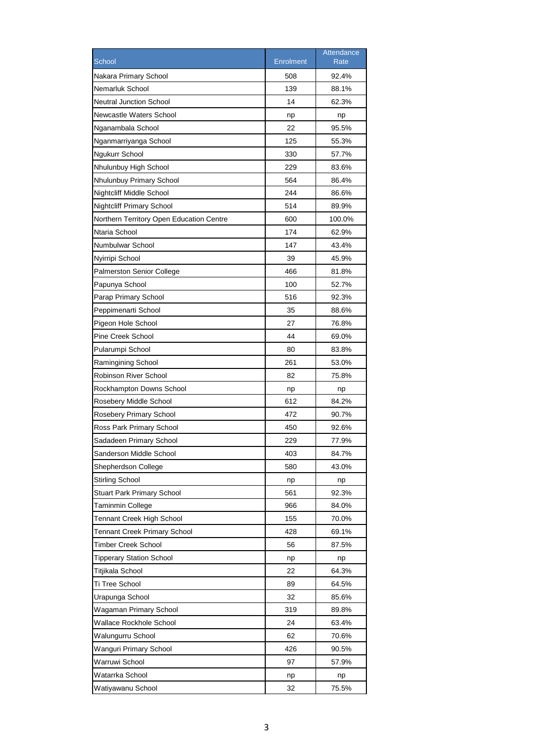|                                          |                  | Attendance  |
|------------------------------------------|------------------|-------------|
| School                                   | <b>Enrolment</b> | <b>Rate</b> |
| Nakara Primary School                    | 508              | 92.4%       |
| Nemarluk School                          | 139              | 88.1%       |
| <b>Neutral Junction School</b>           | 14               | 62.3%       |
| Newcastle Waters School                  | np               | np          |
| Nganambala School                        | 22               | 95.5%       |
| Nganmarriyanga School                    | 125              | 55.3%       |
| Ngukurr School                           | 330              | 57.7%       |
| Nhulunbuy High School                    | 229              | 83.6%       |
| Nhulunbuy Primary School                 | 564              | 86.4%       |
| Nightcliff Middle School                 | 244              | 86.6%       |
| <b>Nightcliff Primary School</b>         | 514              | 89.9%       |
| Northern Territory Open Education Centre | 600              | 100.0%      |
| Ntaria School                            | 174              | 62.9%       |
| Numbulwar School                         | 147              | 43.4%       |
| Nyirripi School                          | 39               | 45.9%       |
| <b>Palmerston Senior College</b>         | 466              | 81.8%       |
| Papunya School                           | 100              | 52.7%       |
| Parap Primary School                     | 516              | 92.3%       |
| Peppimenarti School                      | 35               | 88.6%       |
| Pigeon Hole School                       | 27               | 76.8%       |
| Pine Creek School                        | 44               | 69.0%       |
| Pularumpi School                         | 80               | 83.8%       |
| Ramingining School                       | 261              | 53.0%       |
| <b>Robinson River School</b>             | 82               | 75.8%       |
| Rockhampton Downs School                 | np               | np          |
| Rosebery Middle School                   | 612              | 84.2%       |
| Rosebery Primary School                  | 472              | 90.7%       |
| Ross Park Primary School                 | 450              | 92.6%       |
| Sadadeen Primary School                  | 229              | 77.9%       |
| Sanderson Middle School                  | 403              | 84.7%       |
| Shepherdson College                      | 580              | 43.0%       |
| <b>Stirling School</b>                   | np               | np          |
| <b>Stuart Park Primary School</b>        | 561              | 92.3%       |
| Taminmin College                         | 966              | 84.0%       |
| Tennant Creek High School                | 155              | 70.0%       |
| <b>Tennant Creek Primary School</b>      | 428              | 69.1%       |
| Timber Creek School                      | 56               | 87.5%       |
| <b>Tipperary Station School</b>          | np               | np          |
| Titjikala School                         | 22               | 64.3%       |
| Ti Tree School                           | 89               | 64.5%       |
| Urapunga School                          | 32               | 85.6%       |
| Wagaman Primary School                   | 319              | 89.8%       |
| Wallace Rockhole School                  | 24               | 63.4%       |
| Walungurru School                        | 62               | 70.6%       |
| Wanguri Primary School                   | 426              | 90.5%       |
| Warruwi School                           | 97               | 57.9%       |
| Watarrka School                          | np               | np          |
| Watiyawanu School                        | 32               | 75.5%       |